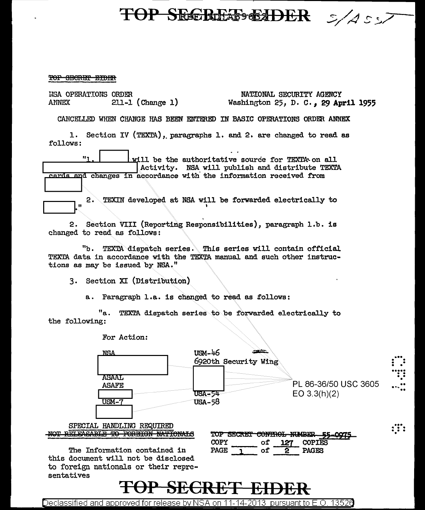### TOP SECREES EADER  $5/255$

#### TOP SECRET EIDER

| USA OPERATIONS ORDER<br>$211-1$ (Change 1)<br>ANNEX                                                                                                                       | NATIONAL SECURITY AGENCY<br>Washington 25, D. C., 29 April 1955                                      |
|---------------------------------------------------------------------------------------------------------------------------------------------------------------------------|------------------------------------------------------------------------------------------------------|
| CANCELLED WHEN CHANGE HAS BEEN ENTERED IN BASIC OPERATIONS ORDER ANNEX                                                                                                    |                                                                                                      |
| 1. Section IV (TEXTA), paragraphs 1. and 2. are changed to read as<br>follows:                                                                                            |                                                                                                      |
| Ħ.,<br>cards and changes in accordance with the information received from                                                                                                 | will be the authoritative source for TEXTA on all<br>Activity. NSA will publish and distribute TEXTA |
|                                                                                                                                                                           |                                                                                                      |
| 2.<br>Ħ                                                                                                                                                                   | TEXIN developed at NSA will be forwarded electrically to                                             |
| 2. Section VIII (Reporting Responsibilities), paragraph 1.b. is<br>changed to read as follows:                                                                            |                                                                                                      |
| "b. TEXTA dispatch series. This series will contain official<br>TEXTA data in accordance with the TEXTA manual and such other instruc-<br>tions as may be issued by NSA." |                                                                                                      |
| 3. Section XI (Distribution)                                                                                                                                              |                                                                                                      |
| a. Paragraph l.a. is changed to read as follows:                                                                                                                          |                                                                                                      |
| the following:                                                                                                                                                            | "a. TEXTA dispatch series to be forwarded electrically to                                            |
| For Action:                                                                                                                                                               |                                                                                                      |
| $\sim$<br><b><i><u>AMAR</u></i></b>                                                                                                                                       |                                                                                                      |



Declassified and approved for release by NSA on 11-14-2013 pursuant to E.O. 13526